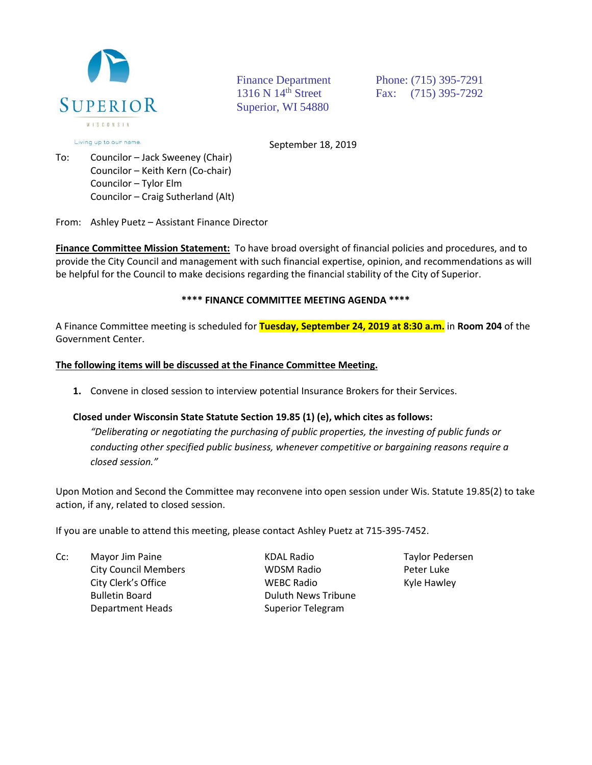

Superior, WI 54880

Finance Department Phone: (715) 395-7291 1316 N 14<sup>th</sup> Street Fax: (715) 395-7292

Living up to our name.

September 18, 2019

To: Councilor – Jack Sweeney (Chair) Councilor – Keith Kern (Co-chair) Councilor – Tylor Elm Councilor – Craig Sutherland (Alt)

From: Ashley Puetz – Assistant Finance Director

**Finance Committee Mission Statement:** To have broad oversight of financial policies and procedures, and to provide the City Council and management with such financial expertise, opinion, and recommendations as will be helpful for the Council to make decisions regarding the financial stability of the City of Superior.

## **\*\*\*\* FINANCE COMMITTEE MEETING AGENDA \*\*\*\***

A Finance Committee meeting is scheduled for **Tuesday, September 24, 2019 at 8:30 a.m.** in **Room 204** of the Government Center.

## **The following items will be discussed at the Finance Committee Meeting.**

**1.** Convene in closed session to interview potential Insurance Brokers for their Services.

## **Closed under Wisconsin State Statute Section 19.85 (1) (e), which cites as follows:**

*"Deliberating or negotiating the purchasing of public properties, the investing of public funds or conducting other specified public business, whenever competitive or bargaining reasons require a closed session."*

Upon Motion and Second the Committee may reconvene into open session under Wis. Statute 19.85(2) to take action, if any, related to closed session.

If you are unable to attend this meeting, please contact Ashley Puetz at 715-395-7452.

Cc: Mayor Jim Paine **Mayor Access Access Access** Mayor Jim Paine Report Access Mayor Pedersen Bulletin Board **Duluth News Tribune** Department Heads Superior Telegram

City Council Members WDSM Radio Peter Luke City Clerk's Office **City Clerk's Office City Clerk's Office Kyle Hawley**